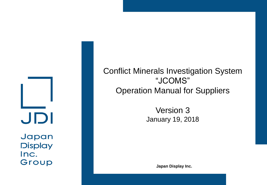JDI

Japan **Display** Inc. Group

Conflict Minerals Investigation System "JCOMS" Operation Manual for Suppliers

> Version 3 January 19, 2018

> > **Japan Display Inc.**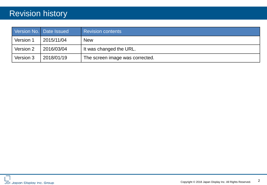### Revision history

|           | Version No. Date Issued | <b>Revision contents</b>        |  |
|-----------|-------------------------|---------------------------------|--|
| Version 1 | 2015/11/04              | <b>New</b>                      |  |
| Version 2 | 2016/03/04              | It was changed the URL.         |  |
| Version 3 | 2018/01/19              | The screen image was corrected. |  |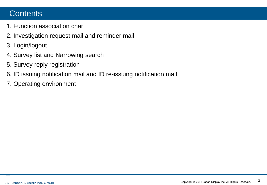### **Contents**

- 1. Function association chart
- 2. Investigation request mail and reminder mail
- 3. Login/logout
- 4. Survey list and Narrowing search
- 5. Survey reply registration
- 6. ID issuing notification mail and ID re-issuing notification mail
- 7. Operating environment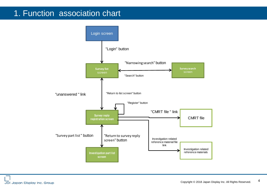### 1. Function association chart

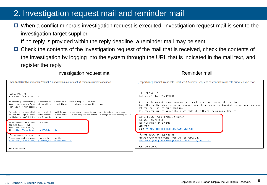### 2. Investigation request mail and reminder mail

 $\Box$  When a conflict minerals investigation request is executed, investigation request mail is sent to the investigation target supplier.

If no reply is provided within the reply deadline, a reminder mail may be sent.

 $\Box$  Check the contents of the investigation request of the mail that is received, check the contents of the investigation by logging into the system through the URL that is indicated in the mail text, and register the reply.

Investigation request mail **Exercise 2 and Terminder mail** Reminder mail

| [Important]Conflict minerals Product A Survey Request of conflict minerals survey execution                                                                                                                                                                                                                                                                                                                                                                                                                                                                               | [Important]Conflict minerals Product A Survey Request of conflict minerals survey execution                                                                                                                                                                                                                                                                                                                            |
|---------------------------------------------------------------------------------------------------------------------------------------------------------------------------------------------------------------------------------------------------------------------------------------------------------------------------------------------------------------------------------------------------------------------------------------------------------------------------------------------------------------------------------------------------------------------------|------------------------------------------------------------------------------------------------------------------------------------------------------------------------------------------------------------------------------------------------------------------------------------------------------------------------------------------------------------------------------------------------------------------------|
| TEST CORPORATION<br>Mr/MrsUser5 (User ID:A023008)<br>We sincerely appreciate your cooperation to conflict minerals survey all the time.<br>Base on our customer's demand, we will carry out the conflict minerals survey this time.<br>Thank you for your cooperation.<br>For details, please click the link of this mail to confirm the survey contents and reply it before reply deadline.<br>But for the inquiry about survey contents, please contact to the responsible person in charge of our company which<br>is listed in Conflict Minerals Survey Reply Screen. | TEST CORPORATION<br>Mr/MrsUser5 (User ID:A023008)<br>We sincerely appreciate your cooperation to conflict minerals survey all the time.<br>About the conflict minerals survey we requested on %5 basing on the demand of our customer, you have<br>not replied it by the reply deadline.<br>So please confirm the survey status and reply it by the following reply deadline.<br>Survey Request Name: Product A Survey |
| Survey Request Name: Product A Survey<br>RBA/GeSI Report: 5.1<br>Reply Deadline: 2018/02/19<br>URL: https://ecosol.nec.co.jp/JCOMS/Login.do                                                                                                                                                                                                                                                                                                                                                                                                                               | RBA/GeSI Report: 5.1<br>Reply Deadline: 2018/02/19<br>Comment :<br>URL: https://ecosol.nec.co.jp/JCOMS/Login.do                                                                                                                                                                                                                                                                                                        |
| <b>『JCOMS manual for Suppliers』:</b><br>Please download the manual from the following URL.<br>http://www.j-display.com/english/csr/transaction/index.html                                                                                                                                                                                                                                                                                                                                                                                                                 | <b>『JCOMS manual for Suppliers』:</b><br>Please download the manual from the following URL.<br>http://www.j-display.com/english/csr/transaction/index.html                                                                                                                                                                                                                                                              |
| Mentioned above                                                                                                                                                                                                                                                                                                                                                                                                                                                                                                                                                           | Mentioned above                                                                                                                                                                                                                                                                                                                                                                                                        |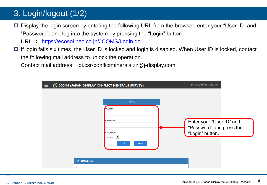# 3. Login/logout (1/2)

- □ Display the login screen by entering the following URL from the browser, enter your "User ID" and "Password", and log into the system by pressing the "Login" button.
	- URL : <https://ecosol.nec.co.jp/JCOMS/Login.do>
- $\Box$  If login fails six times, the User ID is locked and login is disabled. When User ID is locked, contact the following mail address to unlock the operation.

Contact mail address: jdi.csr-conflictminerals.zz@j-display.com

| $\equiv$          | <b>JCOMS (JAPAN DISPLAY CONFLICT MINERALS SURVEY)</b>                                       | ① 2015/10/23 14:53:05                                                   |
|-------------------|---------------------------------------------------------------------------------------------|-------------------------------------------------------------------------|
| <b>INFOMATION</b> | <b>LOGIN</b><br>UserID<br>Password<br>Language<br>DEFAULT <sup>[*</sup> ]<br>Reset<br>Login | Enter your "User ID" and<br>"Password" and press the<br>"Login" button. |
|                   |                                                                                             |                                                                         |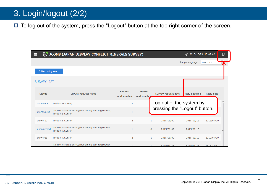### 3. Login/logout (2/2)

□ To log out of the system, press the "Logout" button at the top right corner of the screen.

| ≡                  | <b>S</b> JCOMS (JAPAN DISPLAY CONFLICT MINERALS SURVEY)<br>① 2015/10/23 15:02:00 |                               |                               |                |                               |                       | D                 |  |
|--------------------|----------------------------------------------------------------------------------|-------------------------------|-------------------------------|----------------|-------------------------------|-----------------------|-------------------|--|
|                    |                                                                                  |                               |                               |                |                               | Change language:      | <b>DEFAULT</b>    |  |
|                    | Q Narrowing search                                                               |                               |                               |                |                               |                       |                   |  |
| <b>SURVEY LIST</b> |                                                                                  |                               |                               |                |                               |                       |                   |  |
| <b>Status</b>      | Survey request name                                                              | <b>Request</b><br>part number | <b>Replied</b><br>part number |                | Survey request date           | <b>Reply deadline</b> | <b>Reply date</b> |  |
| unanswered         | Product D Survey                                                                 | 5                             |                               |                | Log out of the system by      |                       |                   |  |
| unanswered         | Conflict minerals survey(Remaining item registration)<br>Product B Survey        | $\mathbf{1}$                  |                               |                | pressing the "Logout" button. |                       |                   |  |
| answered           | Product B Survey                                                                 | $\overline{2}$                |                               | $\mathbf{1}$   | 2015/09/09                    | 2015/09/18            | 2015/09/09        |  |
| unanswered         | Conflict minerals survey(Remaining item registration)<br>Product A Survey        | $\mathbf{1}$                  |                               | $\overline{0}$ | 2015/09/09                    | 2015/09/18            |                   |  |
| answered           | Product A Survey                                                                 | $\overline{2}$                |                               | $\mathbf{1}$   | 2015/09/09                    | 2015/09/18            | 2015/09/09        |  |
| ancwered           | Conflict minerals survey(Remaining item registration)                            |                               |                               |                | 2015/09/07                    | 2015/09/07            | 2015/09/09        |  |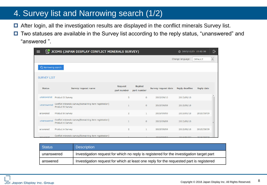### 4. Survey list and Narrowing search (1/2)

- □ After login, all the investigation results are displayed in the conflict minerals Survey list.
- □ Two statuses are available in the Survey list according to the reply status, "unanswered" and "answered ".

|                    | <b>JCOMS (JAPAN DISPLAY CONFLICT MINERALS SURVEY)</b><br>(0) 2015/10/23 15:02:00 |                               |                               |                     |                       |                   | D                   |  |
|--------------------|----------------------------------------------------------------------------------|-------------------------------|-------------------------------|---------------------|-----------------------|-------------------|---------------------|--|
|                    |                                                                                  |                               |                               |                     | Change language:      | <b>DEFAULT</b>    | $\vert \cdot \vert$ |  |
| Q Narrowing search |                                                                                  |                               |                               |                     |                       |                   |                     |  |
| <b>SURVEY LIST</b> |                                                                                  |                               |                               |                     |                       |                   |                     |  |
| <b>Status</b>      | Survey request name                                                              | <b>Request</b><br>part number | <b>Replied</b><br>part number | Survey request date | <b>Reply deadline</b> | <b>Reply date</b> |                     |  |
| unanswered         | Product D Survey                                                                 | 5                             | $\circ$                       | 2015/09/10          | 2015/09/18            |                   |                     |  |
| unanswered         | Conflict minerals survey(Remaining item registration)<br>Product B Survey        | $\mathbf{1}$                  | $\mathbf{0}$                  | 2015/09/09          | 2015/09/18            |                   |                     |  |
| answered           | Product B Survey                                                                 | $\overline{2}$                | $\mathbf{1}$                  | 2015/09/09          | 2015/09/18            | 2015/09/09        |                     |  |
| unanswered         | Conflict minerals survey(Remaining item registration)<br>Product A Survey        | 1                             | $\mathbf{0}$                  | 2015/09/09          | 2015/09/18            |                   |                     |  |
| answered           | Product A Survey                                                                 | $\overline{2}$                | 1                             | 2015/09/09          | 2015/09/18            | 2015/09/09        |                     |  |
| answered           | Conflict minerals survey(Remaining item registration)                            |                               |                               | 2015/09/07          | 2015/09/07            | 2015/09/09        |                     |  |

| <b>Status</b> | <b>Description</b>                                                                       |  |
|---------------|------------------------------------------------------------------------------------------|--|
| unanswered    | Investigation request for which no reply is registered for the investigation target part |  |
| answered      | Investigation request for which at least one reply for the requested part is registered  |  |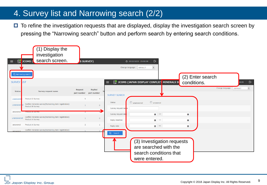### 4. Survey list and Narrowing search (2/2)

 $\Box$  To refine the investigation requests that are displayed, display the investigation search screen by pressing the "Narrowing search" button and perform search by entering search conditions.

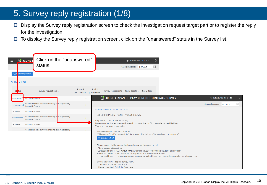### 5. Survey reply registration (1/8)

- □ Display the Survey reply registration screen to check the investigation request target part or to register the reply for the investigation.
- $\Box$  To display the Survey reply registration screen, click on the "unanswered" status in the Survey list.

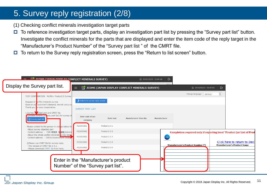### 5. Survey reply registration (2/8)

(1) Checking conflict minerals investigation target parts

- $\Box$  To reference investigation target parts, display an investigation part list by pressing the "Survey part list" button. Investigate the conflict minerals for the parts that are displayed and enter the item code of the reply target in the "Manufacturer's Product Number" of the "Survey part list " of the CMRT file.
- $\Box$  To return to the Survey reply registration screen, press the "Return to list screen" button.

| <b>EC 1COMC (14DAN DICDI AV CONFLICT MINERALS SURVEY)</b>                               |                                                                             |                  |                                                       | D<br>7 2015/10/23 15:04:16 |                                                                       |                          |                                                                    |
|-----------------------------------------------------------------------------------------|-----------------------------------------------------------------------------|------------------|-------------------------------------------------------|----------------------------|-----------------------------------------------------------------------|--------------------------|--------------------------------------------------------------------|
| Display the Survey part list.                                                           | $\equiv$                                                                    |                  | <b>JCOMS (JAPAN DISPLAY CONFLICT MINERALS SURVEY)</b> |                            | (7) 2015/10/23 15:07:01                                               | $\overline{\mathbb{P}}$  |                                                                    |
| TEST CORPORATION Mr/Mrs Product D Survey                                                |                                                                             |                  |                                                       |                            | Change language:   DEFAULT                                            | $\overline{\phantom{a}}$ |                                                                    |
| Request of conflict minerals survey<br>Base on our customer's demand, we will carry ou  | Return to survey reply screen                                               |                  |                                                       |                            |                                                                       |                          |                                                                    |
| Thank you for your cooperation.<br>1. Survey & cted part and CMRT file                  | <b>SURVEY PART LIST</b>                                                     |                  |                                                       |                            |                                                                       |                          |                                                                    |
| UPlease confirm [St] vey part list] for survey of<br>: Survey part list                 | Item code of our<br>company                                                 | <b>Item text</b> | Manufacturer Item No.                                 | Manufacturer               |                                                                       |                          |                                                                    |
| Please contact to the person in change below for<br>. About survey objected part        | M23000001                                                                   | Product 2-3-1    |                                                       |                            |                                                                       |                          |                                                                    |
| Contact address : CSR·環境課 管理者(Admin)<br>•About the whole conflict minerals urvey except | M23000002                                                                   | Product 2-3-2    |                                                       |                            | Completion required only if reporting level "Product (or List of Prod |                          |                                                                    |
| Contact address: CSR & Environment Section                                              | M23000003                                                                   | Product 2-3-3    |                                                       | cfsi                       |                                                                       |                          |                                                                    |
| 2 Please use CMRT file for survey reply.<br>· The version of CMRT file is 5.1.          | M23000004                                                                   | Product 2-3-4    |                                                       |                            | <b>Manufacturer's Product Number (*)</b>                              |                          | Click here to return to Decl<br><b>Manufacturer's Product Name</b> |
| . Please download CMRT file from here.                                                  | M23000005                                                                   | Product 2-3-5    |                                                       |                            |                                                                       |                          |                                                                    |
|                                                                                         | Enter in the "Manufacturer's product"<br>Number" of the "Survey part list". |                  |                                                       |                            |                                                                       |                          |                                                                    |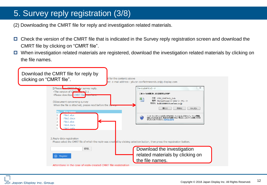### 5. Survey reply registration (3/8)

- (2) Downloading the CMRT file for reply and investigation related materials.
- □ Check the version of the CMRT file that is indicated in the Survey reply registration screen and download the CMRT file by clicking on "CMRT file".
- $\Box$  When investigation related materials are registered, download the investigation related materials by clicking on the file names.

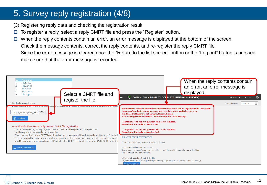### 5. Survey reply registration (4/8)

- (3) Registering reply data and checking the registration result
- $\Box$  To register a reply, select a reply CMRT file and press the "Register" button.
- When the reply contents contain an error, an error message is displayed at the bottom of the screen. Check the message contents, correct the reply contents, and re-register the reply CMRT file. Since the error message is cleared once the "Return to the list screen" button or the "Log out" button is pressed, make sure that the error message is recorded.

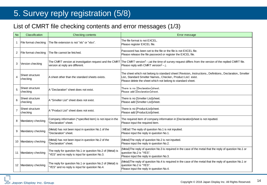### 5. Survey reply registration (5/8)

### List of CMRT file checking contents and error messages (1/3)

| <b>No</b>         | Classification              | <b>Checking contents</b>                                                                                     | Error message                                                                                                                                                                                                                         |
|-------------------|-----------------------------|--------------------------------------------------------------------------------------------------------------|---------------------------------------------------------------------------------------------------------------------------------------------------------------------------------------------------------------------------------------|
| $\mathbf{1}$      | File format checking        | The file extension is not "xls" or "xlsx".                                                                   | The file format is not EXCEL.<br>Please register EXCEL file.                                                                                                                                                                          |
| $\overline{2}$    | File format checking        | The file cannot be fetched.                                                                                  | Password has been set to the file or the file is not EXCEL file.<br>Please release the file password or register the EXCEL file.                                                                                                      |
| 3                 | Version checking            | version at reply are different.                                                                              | The CMRT version at investigation request and the CMRT The CMRT version <sup>[</sup> -- ]at the time of survey request differs from the version of the replied CMRT file.<br>Please reply with CMRT version [-- ].                    |
| $\overline{4}$    | Sheet structure<br>checking | A sheet other than the standard sheets exists.                                                               | The sheet which not belong to standard sheet (Revision, Instructions, Definitions, Declaration, Smelter<br>List, Standard Smelter Names, Checker, Product List) exist.<br>Please delete the sheet which not belong to standard sheet. |
| 5                 | Sheet structure<br>checking | A "Declaration" sheet does not exist.                                                                        | There is no [Declaration]sheet.<br>Please add [Declaration]sheet.                                                                                                                                                                     |
| 6                 | Sheet structure<br>checking | A "Smelter List" sheet does not exist.                                                                       | There is no [Smelter List]sheet.<br>Please add [Smelter List]sheet.                                                                                                                                                                   |
| $\overline{7}$    | Sheet structure<br>checking | A "Product List" sheet does not exist.                                                                       | There is no [ProductList]sheet.<br>Please add [ProductList]sheet.                                                                                                                                                                     |
| 8                 | Mandatory checking          | Company information (*specified item) is not input in the<br>"Declaration" sheet.                            | The required item of company information in [Declaration]sheet is not inputted.<br>Please input the required item.                                                                                                                    |
| 9                 | Mandatory checking          | (Metal) has not been input in question No.1 of the<br>"Declaration" sheet.                                   | (MEtal) The reply of question No.1 is not inputted.<br>Please input the reply in question No.1.                                                                                                                                       |
|                   | 10 Mandatory checking       | (Metal) has not been input in question No.2 of the<br>"Declaration" sheet.                                   | (Metal) The reply of question No.2 is not inputted.<br>Please input the reply in question No.2.                                                                                                                                       |
| 11                | Mandatory checking          | The reply for question No.1 or question No.2 of (Metal) is<br>"YES" and no reply is input for question No.3. | (Metal) The reply of question No.3 is required in the case of the metal that the reply of question No.1 or<br>question No.2 is "YES".<br>Please input the reply in question No.3.                                                     |
| $12 \overline{ }$ | Mandatory checking          | The reply for question No.1 or question No.2 of (Metal) is<br>"YES" and no reply is input for question No.4. | (Metal) The reply of question No.4 is required in the case of the metal that the reply of question No.1 or<br>question No.2 is "YES".<br>Please input the reply in question No.4.                                                     |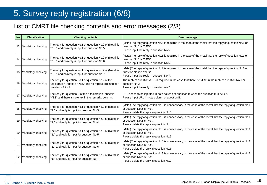### 5. Survey reply registration (6/8)

### List of CMRT file checking contents and error messages (2/3)

| <b>No</b> | Classification        | <b>Checking contents</b>                                                                                                              | Error message                                                                                                                                                                        |
|-----------|-----------------------|---------------------------------------------------------------------------------------------------------------------------------------|--------------------------------------------------------------------------------------------------------------------------------------------------------------------------------------|
|           | 13 Mandatory checking | The reply for question No.1 or question No.2 of (Metal) is<br>'YES" and no reply is input for question No.5.                          | (Metal) The reply of question No.5 is required in the case of the metal that the reply of question No.1 or<br>question No.2 is "YES".<br>Please input the reply in question No.5.    |
|           | 14 Mandatory checking | The reply for question No.1 or question No.2 of (Metal) is<br>'YES" and no reply is input for question No.6.                          | (Metal)The reply of question No.6 is required in the case of the metal that the reply of question No.1 or<br>question No.2 is "YES".<br>Please input the reply in question No.6.     |
|           | 15 Mandatory checking | The reply for question No.1 or question No.2 of (Metal) is<br>'YES" and no reply is input for question No.7.                          | (Metal)The reply of question No.7 is required in the case of the metal that the reply of question No.1 or<br>question No.2 is "YES".<br>Please input the reply in question No.7.     |
|           | 16 Mandatory checking | The reply for question No.1 or question No.2 of the<br>"Declaration" sheet is "YES" and no replies are input for<br>questions A to J. | The reply of question A~J is required in the case that there is "YES" in the reply of question No.1 or<br>question No.2.<br>Please input the reply in question $A \sim J$ .          |
|           | 17 Mandatory checking | The reply for question B of the "Declaration" sheet is<br>"YES" and there is no entry in the remarks column.                          | URL needs to be inputted in note column of question B when the question B is "YES".<br>Please input URL in note column of question B.                                                |
|           | 18 Mandatory checking | The reply for question No.1 or question No.2 of (Metal) is<br>"No" and reply is input for question No.3.                              | (Metal) The reply of question No.3 is unnecessary in the case of the metal that the reply of question No.1<br>or question No.2 is "No".<br>Please delete the reply in question No.3. |
|           | 19 Mandatory checking | The reply for question No.1 or question No.2 of (Metal) is<br>"No" and reply is input for question No.4.                              | (Metal) The reply of question No.3 is unnecessary in the case of the metal that the reply of question No.1<br>or question No.2 is "No".<br>Please delete the reply in question No.4. |
|           | 20 Mandatory checking | The reply for question No.1 or question No.2 of (Metal) is<br>"No" and reply is input for question No.5.                              | (Metal) The reply of question No.3 is unnecessary in the case of the metal that the reply of question No.1<br>or question No.2 is "No".<br>Please delete the reply in question No.5. |
| 21        | Mandatory checking    | The reply for question No.1 or question No.2 of (Metal) is<br>"No" and reply is input for question No.6.                              | (Metal)The reply of question No.3 is unnecessary in the case of the metal that the reply of question No.1<br>or question No.2 is "No".<br>Please delete the reply in question No.6.  |
|           | 22 Mandatory checking | The reply for question No.1 or question No.2 of (Metal) is<br>"No" and reply is input for question No.7.                              | (Metal) The reply of question No.3 is unnecessary in the case of the metal that the reply of question No.1<br>or question No.2 is "No".<br>Please delete the reply in question No.7. |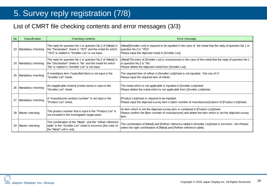### 5. Survey reply registration (7/8)

### List of CMRT file checking contents and error messages (3/3)

| <b>No</b> | <b>Classification</b> | Checking contents                                                                                                                                                          | Error message                                                                                                                                                                                       |
|-----------|-----------------------|----------------------------------------------------------------------------------------------------------------------------------------------------------------------------|-----------------------------------------------------------------------------------------------------------------------------------------------------------------------------------------------------|
|           | 23 Mandatory checking | The reply for question No.1 or question No.2 of (Metal) in<br>the "Declaration" sheet is "YES" and the metal for which<br>"YES" is replied in "Smelter List" is not input. | (Metal)[Smelter List] is required to be inputted in the case of the metal that the reply of question No.1 or<br>question No.2 is "YES".<br>Please input the objected metal in [Smelter List].       |
|           | 24 Mandatory checking | The reply for question No.1 or question No.2 of (Metal) in<br>the "Declaration" sheet is "No" and the metal for which<br>"No" is replied in "Smelter List" is not input.   | ((Metal)The entry of [Smelter List] is unnecessary in the case of the metal that the reply of question No.1<br>or question No.2 is "No".<br>Please delete the objected metal from [Smelter List].   |
|           | 25 Mandatory checking | A mandatory item (*specified item) is not input in the<br>'Smelter List" sheet.                                                                                            | The required item of refiner in [Smelter List]sheet is not inputted. (the row of $X$ )<br>Please input the required item of refiner.                                                                |
|           | 26 Mandatory checking | An inapplicable mineral (metal name) is input in the<br>'Smelter List" sheet.                                                                                              | The metal which is not applicable is inputted in [Smelter List]sheet.<br>Please delete the metal which is not applicable from [Smelter List]sheet.                                                  |
|           | 27 Mandatory checking | A "manufacturer product number" is not input in the<br>"Product List" sheet.                                                                                               | [Product List]sheet is required to be inputted.<br>Please input the objected survey item in [Item number of manufacturer]column of [Product List]sheet.                                             |
|           | 28 Master checking    | The product number that is input in the "Product List" is<br>not included in the investigation target parts.                                                               | he item which is not the objected survey item is contained in [Product List]sheet.<br>Please confirm the fitem number of manufacturer and delete the item which is not the objected survey<br>item. |
| 29        | Master checking       | The combination of the "Metal" and the "refiner reference<br>table" in the "Smelter List" sheet is incorrect (the color of<br>the "Metal" cell is red).                    | The combination of [Metal] and [Refiner reference table] in [Smelter List]sheet is incorrect.<br>Please<br>select the right combination of [Metal] and [Refiner reference table].                   |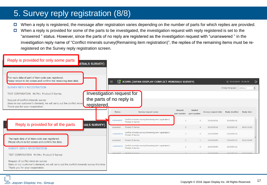### 5. Survey reply registration (8/8)

- $\Box$  When a reply is registered, the message after registration varies depending on the number of parts for which replies are provided.
- $\Box$  When a reply is provided for some of the parts to be investigated, the investigation request with reply registered is set to the "answered " status. However, since the parts of no reply are registered as the investigation request with "unanswered " in the investigation reply name of "Conflict minerals survey(Remaining item registration)", the replies of the remaining items must be reregistered on the Survey reply registration screen.



#### **JDI Japan Display Inc. Group**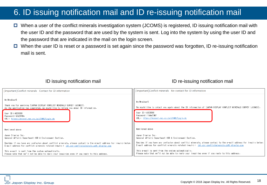### 6. ID issuing notification mail and ID re-issuing notification mail

- When a user of the conflict minerals investigation system (JCOMS) is registered, ID issuing notification mail with the user ID and the password that are used by the system is sent. Log into the system by using the user ID and the password that are indicated in the mail on the login screen.
- $\Box$  When the user ID is reset or a password is set again since the password was forgotten, ID re-issuing notification mail is sent.

ID issuing notification mail **ID** re-issuing notification mail

| [Important] Conflict minerals Contact for ID information                                                                                                                       | [Important]Conflict minerals Re-contact for ID information                                                                     |
|--------------------------------------------------------------------------------------------------------------------------------------------------------------------------------|--------------------------------------------------------------------------------------------------------------------------------|
| Mr/MrsUser5<br>Thank you for applying [JAPAN DISPLAY CONFLICT MINERALS SURVEY (JCOMS)].<br>As the application has completed, we would like to inform you about ID information. | Mr/MrsUser5<br>We would like to cotact you again about the ID information of [JAPAN DISPLAY CONFLICT MINERALS SURVEY (JCOMS)]. |
| User ID:A023008                                                                                                                                                                | User ID: 4023008                                                                                                               |
| Password: Glb3VHBq                                                                                                                                                             | Password: T4Aw2IM7                                                                                                             |
| URL: https://ecosol.nec.co.jp/JCOMS/Login.do                                                                                                                                   | URL: https://ecosol.nec.co.jp/JCOMS/Login.do                                                                                   |
|                                                                                                                                                                                |                                                                                                                                |
| Mentioned above                                                                                                                                                                | Mentioned above                                                                                                                |
| Japan Display Inc.                                                                                                                                                             | Japan Display Inc.                                                                                                             |
| General Affairs Department CSR & Environment Section.                                                                                                                          | General Affairs Department CSR & Environment Section.                                                                          |
| Besides if you have any confusion about conflict minerals, please contact to the e-mail address for inquiry below.                                                             | Besides if you have any confusion about conflict minerals, please contact to the e-mail address for inquiry below.             |
| E-mail address for conflict minerals related inquiry: jdi.csr-conflictminerals.zz@j-display.com                                                                                | E-mail address for conflict minerals related inquiry: jdi.csr-conflictminerals.zz@j-display.com                                |
| This e-mail is sent from the system automatically.                                                                                                                             | This e-mail is sent from the system automatically.                                                                             |
| Please note that we'll not be able to reply your inquiries even if you reply to this address.                                                                                  | Please note that we'll not be able to reply your inquiries even if you reply to this address.                                  |